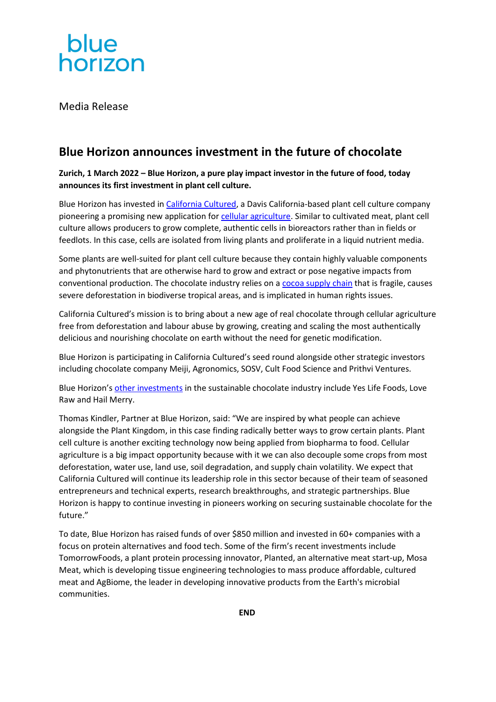

Media Release

# **Blue Horizon announces investment in the future of chocolate**

# **Zurich, 1 March 2022 – Blue Horizon, a pure play impact investor in the future of food, today announces its first investment in plant cell culture.**

Blue Horizon has invested i[n California Cultured,](https://www.cacultured.com/) a Davis California-based plant cell culture company pioneering a promising new application fo[r cellular agriculture.](https://ecotech.substack.com/p/cellular-agriculture-landscape) Similar to cultivated meat, plant cell culture allows producers to grow complete, authentic cells in bioreactors rather than in fields or feedlots. In this case, cells are isolated from living plants and proliferate in a liquid nutrient media.

Some plants are well-suited for plant cell culture because they contain highly valuable components and phytonutrients that are otherwise hard to grow and extract or pose negative impacts from conventional production. The chocolate industry relies on a [cocoa supply chain](https://www.cacultured.com/the-chocolate-crisis) that is fragile, causes severe deforestation in biodiverse tropical areas, and is implicated in human rights issues.

California Cultured's mission is to bring about a new age of real chocolate through cellular agriculture free from deforestation and labour abuse by growing, creating and scaling the most authentically delicious and nourishing chocolate on earth without the need for genetic modification.

Blue Horizon is participating in California Cultured's seed round alongside other strategic investors including chocolate company Meiji, Agronomics, SOSV, Cult Food Science and Prithvi Ventures.

Blue Horizon's [other investments](https://bluehorizon.com/portfolio/) in the sustainable chocolate industry include Yes Life Foods, Love Raw and Hail Merry.

Thomas Kindler, Partner at Blue Horizon, said: "We are inspired by what people can achieve alongside the Plant Kingdom, in this case finding radically better ways to grow certain plants. Plant cell culture is another exciting technology now being applied from biopharma to food. Cellular agriculture is a big impact opportunity because with it we can also decouple some crops from most deforestation, water use, land use, soil degradation, and supply chain volatility. We expect that California Cultured will continue its leadership role in this sector because of their team of seasoned entrepreneurs and technical experts, research breakthroughs, and strategic partnerships. Blue Horizon is happy to continue investing in pioneers working on securing sustainable chocolate for the future."

To date, Blue Horizon has raised funds of over \$850 million and invested in 60+ companies with a focus on protein alternatives and food tech. Some of the firm's recent investments include TomorrowFoods, a plant protein processing innovator, Planted, an alternative meat start-up, Mosa Meat, which is developing tissue engineering technologies to mass produce affordable, cultured meat and AgBiome, the leader in developing innovative products from the Earth's microbial communities.